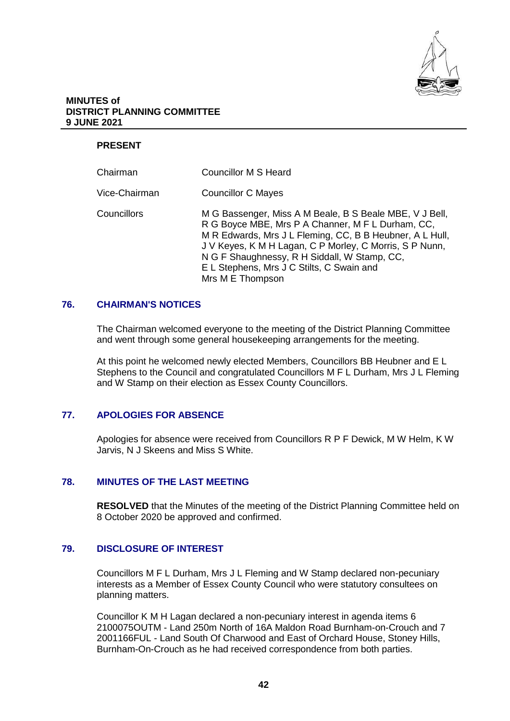

### **MINUTES of DISTRICT PLANNING COMMITTEE 9 JUNE 2021**

# **PRESENT**

| Chairman      | Councillor M S Heard                                                                                                                                                                                                                                                                                                                                 |
|---------------|------------------------------------------------------------------------------------------------------------------------------------------------------------------------------------------------------------------------------------------------------------------------------------------------------------------------------------------------------|
| Vice-Chairman | <b>Councillor C Mayes</b>                                                                                                                                                                                                                                                                                                                            |
| Councillors   | M G Bassenger, Miss A M Beale, B S Beale MBE, V J Bell,<br>R G Boyce MBE, Mrs P A Channer, M F L Durham, CC,<br>M R Edwards, Mrs J L Fleming, CC, B B Heubner, A L Hull,<br>J V Keyes, K M H Lagan, C P Morley, C Morris, S P Nunn,<br>N G F Shaughnessy, R H Siddall, W Stamp, CC,<br>E L Stephens, Mrs J C Stilts, C Swain and<br>Mrs M E Thompson |

# **76. CHAIRMAN'S NOTICES**

The Chairman welcomed everyone to the meeting of the District Planning Committee and went through some general housekeeping arrangements for the meeting.

At this point he welcomed newly elected Members, Councillors BB Heubner and E L Stephens to the Council and congratulated Councillors M F L Durham, Mrs J L Fleming and W Stamp on their election as Essex County Councillors.

# **77. APOLOGIES FOR ABSENCE**

Apologies for absence were received from Councillors R P F Dewick, M W Helm, K W Jarvis, N J Skeens and Miss S White.

# **78. MINUTES OF THE LAST MEETING**

**RESOLVED** that the Minutes of the meeting of the District Planning Committee held on 8 October 2020 be approved and confirmed.

# **79. DISCLOSURE OF INTEREST**

Councillors M F L Durham, Mrs J L Fleming and W Stamp declared non-pecuniary interests as a Member of Essex County Council who were statutory consultees on planning matters.

Councillor K M H Lagan declared a non-pecuniary interest in agenda items 6 2100075OUTM - Land 250m North of 16A Maldon Road Burnham-on-Crouch and 7 2001166FUL - Land South Of Charwood and East of Orchard House, Stoney Hills, Burnham-On-Crouch as he had received correspondence from both parties.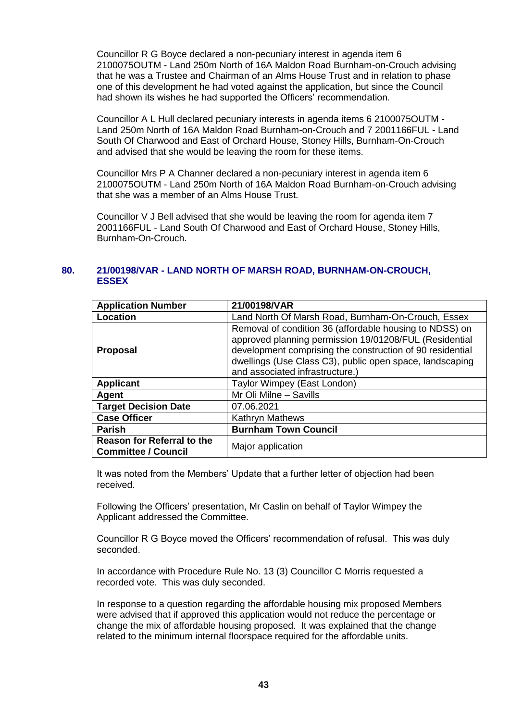Councillor R G Boyce declared a non-pecuniary interest in agenda item 6 2100075OUTM - Land 250m North of 16A Maldon Road Burnham-on-Crouch advising that he was a Trustee and Chairman of an Alms House Trust and in relation to phase one of this development he had voted against the application, but since the Council had shown its wishes he had supported the Officers' recommendation.

Councillor A L Hull declared pecuniary interests in agenda items 6 2100075OUTM - Land 250m North of 16A Maldon Road Burnham-on-Crouch and 7 2001166FUL - Land South Of Charwood and East of Orchard House, Stoney Hills, Burnham-On-Crouch and advised that she would be leaving the room for these items.

Councillor Mrs P A Channer declared a non-pecuniary interest in agenda item 6 2100075OUTM - Land 250m North of 16A Maldon Road Burnham-on-Crouch advising that she was a member of an Alms House Trust.

Councillor V J Bell advised that she would be leaving the room for agenda item 7 2001166FUL - Land South Of Charwood and East of Orchard House, Stoney Hills, Burnham-On-Crouch.

# **80. 21/00198/VAR - LAND NORTH OF MARSH ROAD, BURNHAM-ON-CROUCH, ESSEX**

| <b>Application Number</b>                                       | 21/00198/VAR                                                                                                                                                                                                                                                                  |
|-----------------------------------------------------------------|-------------------------------------------------------------------------------------------------------------------------------------------------------------------------------------------------------------------------------------------------------------------------------|
| Location                                                        | Land North Of Marsh Road, Burnham-On-Crouch, Essex                                                                                                                                                                                                                            |
| <b>Proposal</b>                                                 | Removal of condition 36 (affordable housing to NDSS) on<br>approved planning permission 19/01208/FUL (Residential<br>development comprising the construction of 90 residential<br>dwellings (Use Class C3), public open space, landscaping<br>and associated infrastructure.) |
| <b>Applicant</b>                                                | Taylor Wimpey (East London)                                                                                                                                                                                                                                                   |
| Agent                                                           | Mr Oli Milne - Savills                                                                                                                                                                                                                                                        |
| <b>Target Decision Date</b>                                     | 07.06.2021                                                                                                                                                                                                                                                                    |
| <b>Case Officer</b>                                             | Kathryn Mathews                                                                                                                                                                                                                                                               |
| <b>Parish</b>                                                   | <b>Burnham Town Council</b>                                                                                                                                                                                                                                                   |
| <b>Reason for Referral to the</b><br><b>Committee / Council</b> | Major application                                                                                                                                                                                                                                                             |

It was noted from the Members' Update that a further letter of objection had been received.

Following the Officers' presentation, Mr Caslin on behalf of Taylor Wimpey the Applicant addressed the Committee.

Councillor R G Boyce moved the Officers' recommendation of refusal. This was duly seconded.

In accordance with Procedure Rule No. 13 (3) Councillor C Morris requested a recorded vote. This was duly seconded.

In response to a question regarding the affordable housing mix proposed Members were advised that if approved this application would not reduce the percentage or change the mix of affordable housing proposed. It was explained that the change related to the minimum internal floorspace required for the affordable units.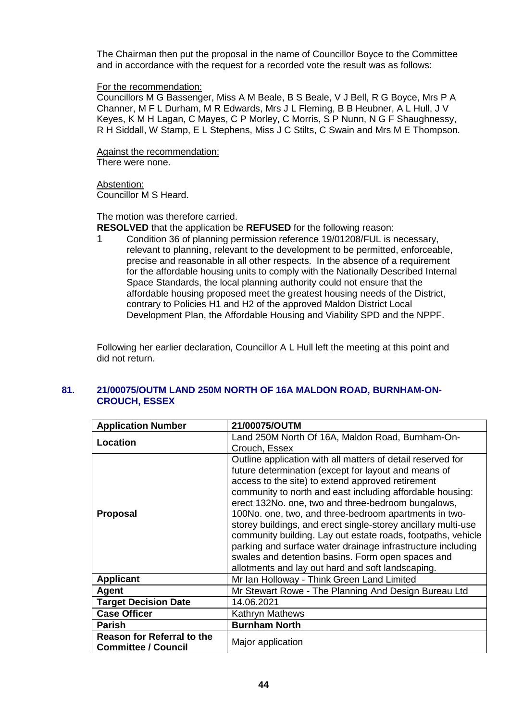The Chairman then put the proposal in the name of Councillor Boyce to the Committee and in accordance with the request for a recorded vote the result was as follows:

### For the recommendation:

Councillors M G Bassenger, Miss A M Beale, B S Beale, V J Bell, R G Boyce, Mrs P A Channer, M F L Durham, M R Edwards, Mrs J L Fleming, B B Heubner, A L Hull, J V Keyes, K M H Lagan, C Mayes, C P Morley, C Morris, S P Nunn, N G F Shaughnessy, R H Siddall, W Stamp, E L Stephens, Miss J C Stilts, C Swain and Mrs M E Thompson.

Against the recommendation:

There were none.

Abstention: Councillor M S Heard.

The motion was therefore carried.

**RESOLVED** that the application be **REFUSED** for the following reason:

1 Condition 36 of planning permission reference 19/01208/FUL is necessary, relevant to planning, relevant to the development to be permitted, enforceable, precise and reasonable in all other respects. In the absence of a requirement for the affordable housing units to comply with the Nationally Described Internal Space Standards, the local planning authority could not ensure that the affordable housing proposed meet the greatest housing needs of the District, contrary to Policies H1 and H2 of the approved Maldon District Local Development Plan, the Affordable Housing and Viability SPD and the NPPF.

Following her earlier declaration, Councillor A L Hull left the meeting at this point and did not return.

| <b>Application Number</b>                                       | 21/00075/OUTM                                                                                                                                                                                                                                                                                                                                                                                                                                                                                                                                                                                                                                                  |
|-----------------------------------------------------------------|----------------------------------------------------------------------------------------------------------------------------------------------------------------------------------------------------------------------------------------------------------------------------------------------------------------------------------------------------------------------------------------------------------------------------------------------------------------------------------------------------------------------------------------------------------------------------------------------------------------------------------------------------------------|
| Location                                                        | Land 250M North Of 16A, Maldon Road, Burnham-On-<br>Crouch, Essex                                                                                                                                                                                                                                                                                                                                                                                                                                                                                                                                                                                              |
| <b>Proposal</b>                                                 | Outline application with all matters of detail reserved for<br>future determination (except for layout and means of<br>access to the site) to extend approved retirement<br>community to north and east including affordable housing:<br>erect 132No. one, two and three-bedroom bungalows,<br>100No. one, two, and three-bedroom apartments in two-<br>storey buildings, and erect single-storey ancillary multi-use<br>community building. Lay out estate roads, footpaths, vehicle<br>parking and surface water drainage infrastructure including<br>swales and detention basins. Form open spaces and<br>allotments and lay out hard and soft landscaping. |
| <b>Applicant</b>                                                | Mr Ian Holloway - Think Green Land Limited                                                                                                                                                                                                                                                                                                                                                                                                                                                                                                                                                                                                                     |
| Agent                                                           | Mr Stewart Rowe - The Planning And Design Bureau Ltd                                                                                                                                                                                                                                                                                                                                                                                                                                                                                                                                                                                                           |
| <b>Target Decision Date</b>                                     | 14.06.2021                                                                                                                                                                                                                                                                                                                                                                                                                                                                                                                                                                                                                                                     |
| <b>Case Officer</b>                                             | <b>Kathryn Mathews</b>                                                                                                                                                                                                                                                                                                                                                                                                                                                                                                                                                                                                                                         |
| <b>Parish</b>                                                   | <b>Burnham North</b>                                                                                                                                                                                                                                                                                                                                                                                                                                                                                                                                                                                                                                           |
| <b>Reason for Referral to the</b><br><b>Committee / Council</b> | Major application                                                                                                                                                                                                                                                                                                                                                                                                                                                                                                                                                                                                                                              |

# **81. 21/00075/OUTM LAND 250M NORTH OF 16A MALDON ROAD, BURNHAM-ON-CROUCH, ESSEX**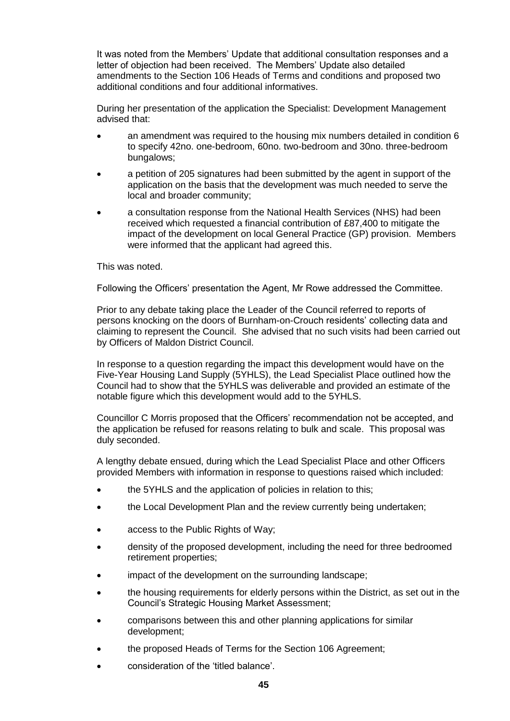It was noted from the Members' Update that additional consultation responses and a letter of objection had been received. The Members' Update also detailed amendments to the Section 106 Heads of Terms and conditions and proposed two additional conditions and four additional informatives.

During her presentation of the application the Specialist: Development Management advised that:

- an amendment was required to the housing mix numbers detailed in condition 6 to specify 42no. one-bedroom, 60no. two-bedroom and 30no. three-bedroom bungalows;
- a petition of 205 signatures had been submitted by the agent in support of the application on the basis that the development was much needed to serve the local and broader community;
- a consultation response from the National Health Services (NHS) had been received which requested a financial contribution of £87,400 to mitigate the impact of the development on local General Practice (GP) provision. Members were informed that the applicant had agreed this.

### This was noted.

Following the Officers' presentation the Agent, Mr Rowe addressed the Committee.

Prior to any debate taking place the Leader of the Council referred to reports of persons knocking on the doors of Burnham-on-Crouch residents' collecting data and claiming to represent the Council. She advised that no such visits had been carried out by Officers of Maldon District Council.

In response to a question regarding the impact this development would have on the Five-Year Housing Land Supply (5YHLS), the Lead Specialist Place outlined how the Council had to show that the 5YHLS was deliverable and provided an estimate of the notable figure which this development would add to the 5YHLS.

Councillor C Morris proposed that the Officers' recommendation not be accepted, and the application be refused for reasons relating to bulk and scale. This proposal was duly seconded.

A lengthy debate ensued, during which the Lead Specialist Place and other Officers provided Members with information in response to questions raised which included:

- the 5YHLS and the application of policies in relation to this;
- the Local Development Plan and the review currently being undertaken;
- access to the Public Rights of Way;
- density of the proposed development, including the need for three bedroomed retirement properties;
- impact of the development on the surrounding landscape;
- the housing requirements for elderly persons within the District, as set out in the Council's Strategic Housing Market Assessment;
- comparisons between this and other planning applications for similar development;
- the proposed Heads of Terms for the Section 106 Agreement;
- consideration of the 'titled balance'.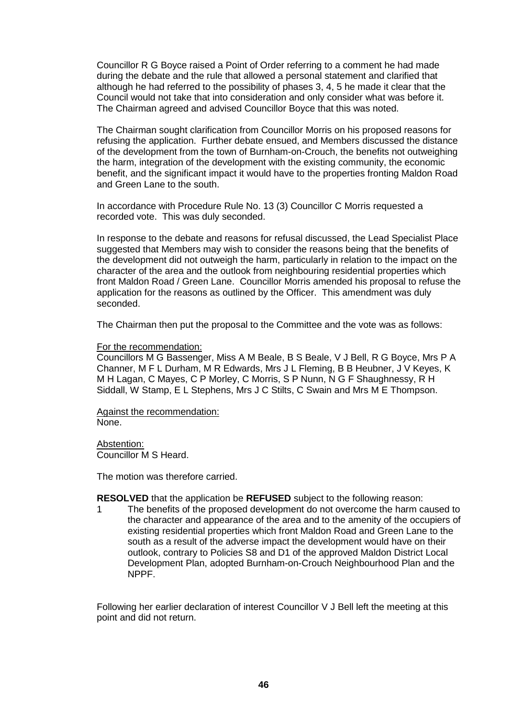Councillor R G Boyce raised a Point of Order referring to a comment he had made during the debate and the rule that allowed a personal statement and clarified that although he had referred to the possibility of phases 3, 4, 5 he made it clear that the Council would not take that into consideration and only consider what was before it. The Chairman agreed and advised Councillor Boyce that this was noted.

The Chairman sought clarification from Councillor Morris on his proposed reasons for refusing the application. Further debate ensued, and Members discussed the distance of the development from the town of Burnham-on-Crouch, the benefits not outweighing the harm, integration of the development with the existing community, the economic benefit, and the significant impact it would have to the properties fronting Maldon Road and Green Lane to the south.

In accordance with Procedure Rule No. 13 (3) Councillor C Morris requested a recorded vote. This was duly seconded.

In response to the debate and reasons for refusal discussed, the Lead Specialist Place suggested that Members may wish to consider the reasons being that the benefits of the development did not outweigh the harm, particularly in relation to the impact on the character of the area and the outlook from neighbouring residential properties which front Maldon Road / Green Lane. Councillor Morris amended his proposal to refuse the application for the reasons as outlined by the Officer. This amendment was duly seconded.

The Chairman then put the proposal to the Committee and the vote was as follows:

#### For the recommendation:

Councillors M G Bassenger, Miss A M Beale, B S Beale, V J Bell, R G Boyce, Mrs P A Channer, M F L Durham, M R Edwards, Mrs J L Fleming, B B Heubner, J V Keyes, K M H Lagan, C Mayes, C P Morley, C Morris, S P Nunn, N G F Shaughnessy, R H Siddall, W Stamp, E L Stephens, Mrs J C Stilts, C Swain and Mrs M E Thompson.

Against the recommendation: None.

Abstention:

Councillor M S Heard.

The motion was therefore carried.

**RESOLVED** that the application be **REFUSED** subject to the following reason:

1 The benefits of the proposed development do not overcome the harm caused to the character and appearance of the area and to the amenity of the occupiers of existing residential properties which front Maldon Road and Green Lane to the south as a result of the adverse impact the development would have on their outlook, contrary to Policies S8 and D1 of the approved Maldon District Local Development Plan, adopted Burnham-on-Crouch Neighbourhood Plan and the NPPF.

Following her earlier declaration of interest Councillor V J Bell left the meeting at this point and did not return.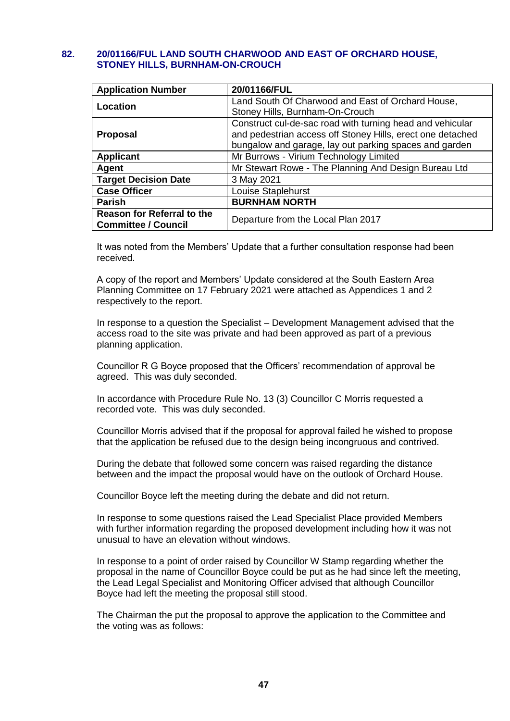# **82. 20/01166/FUL LAND SOUTH CHARWOOD AND EAST OF ORCHARD HOUSE, STONEY HILLS, BURNHAM-ON-CROUCH**

| <b>Application Number</b>         | 20/01166/FUL                                               |
|-----------------------------------|------------------------------------------------------------|
| Location                          | Land South Of Charwood and East of Orchard House,          |
|                                   | Stoney Hills, Burnham-On-Crouch                            |
|                                   | Construct cul-de-sac road with turning head and vehicular  |
| <b>Proposal</b>                   | and pedestrian access off Stoney Hills, erect one detached |
|                                   | bungalow and garage, lay out parking spaces and garden     |
| <b>Applicant</b>                  | Mr Burrows - Virium Technology Limited                     |
| Agent                             | Mr Stewart Rowe - The Planning And Design Bureau Ltd       |
| <b>Target Decision Date</b>       | 3 May 2021                                                 |
| <b>Case Officer</b>               | Louise Staplehurst                                         |
| <b>Parish</b>                     | <b>BURNHAM NORTH</b>                                       |
| <b>Reason for Referral to the</b> | Departure from the Local Plan 2017                         |
| <b>Committee / Council</b>        |                                                            |

It was noted from the Members' Update that a further consultation response had been received.

A copy of the report and Members' Update considered at the South Eastern Area Planning Committee on 17 February 2021 were attached as Appendices 1 and 2 respectively to the report.

In response to a question the Specialist – Development Management advised that the access road to the site was private and had been approved as part of a previous planning application.

Councillor R G Boyce proposed that the Officers' recommendation of approval be agreed. This was duly seconded.

In accordance with Procedure Rule No. 13 (3) Councillor C Morris requested a recorded vote. This was duly seconded.

Councillor Morris advised that if the proposal for approval failed he wished to propose that the application be refused due to the design being incongruous and contrived.

During the debate that followed some concern was raised regarding the distance between and the impact the proposal would have on the outlook of Orchard House.

Councillor Boyce left the meeting during the debate and did not return.

In response to some questions raised the Lead Specialist Place provided Members with further information regarding the proposed development including how it was not unusual to have an elevation without windows.

In response to a point of order raised by Councillor W Stamp regarding whether the proposal in the name of Councillor Boyce could be put as he had since left the meeting, the Lead Legal Specialist and Monitoring Officer advised that although Councillor Boyce had left the meeting the proposal still stood.

The Chairman the put the proposal to approve the application to the Committee and the voting was as follows: